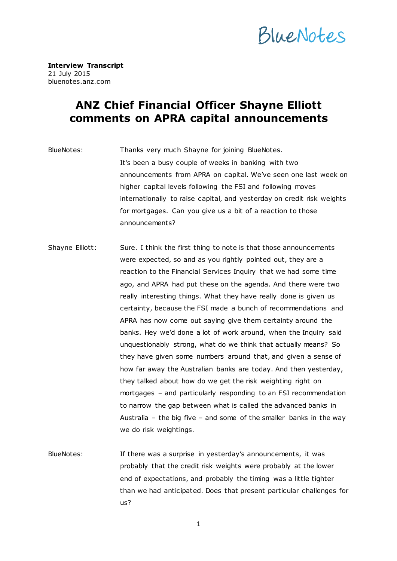

**Interview Transcript**  21 July 2015 bluenotes.anz.com

## **ANZ Chief Financial Officer Shayne Elliott comments on APRA capital announcements**

BlueNotes: Thanks very much Shayne for joining BlueNotes. It's been a busy couple of weeks in banking with two announcements from APRA on capital. We've seen one last week on higher capital levels following the FSI and following moves internationally to raise capital, and yesterday on credit risk weights for mortgages. Can you give us a bit of a reaction to those announcements?

- Shayne Elliott: Sure. I think the first thing to note is that those announcements were expected, so and as you rightly pointed out, they are a reaction to the Financial Services Inquiry that we had some time ago, and APRA had put these on the agenda. And there were two really interesting things. What they have really done is given us certainty, because the FSI made a bunch of recommendations and APRA has now come out saying give them certainty around the banks. Hey we'd done a lot of work around, when the Inquiry said unquestionably strong, what do we think that actually means? So they have given some numbers around that, and given a sense of how far away the Australian banks are today. And then yesterday, they talked about how do we get the risk weighting right on mortgages – and particularly responding to an FSI recommendation to narrow the gap between what is called the advanced banks in Australia – the big five – and some of the smaller banks in the way we do risk weightings.
- BlueNotes: If there was a surprise in yesterday's announcements, it was probably that the credit risk weights were probably at the lower end of expectations, and probably the timing was a little tighter than we had anticipated. Does that present particular challenges for us?

1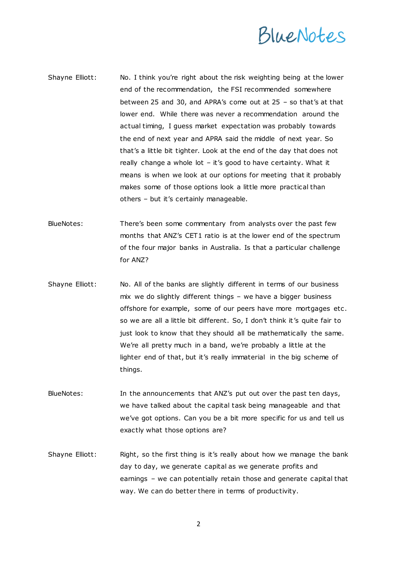## BlueNotes

- Shayne Elliott: No. I think you're right about the risk weighting being at the lower end of the recommendation, the FSI recommended somewhere between 25 and 30, and APRA's come out at 25 – so that's at that lower end. While there was never a recommendation around the actual timing, I guess market expectation was probably towards the end of next year and APRA said the middle of next year. So that's a little bit tighter. Look at the end of the day that does not really change a whole lot – it's good to have certainty. What it means is when we look at our options for meeting that it probably makes some of those options look a little more practical than others – but it's certainly manageable.
- BlueNotes: There's been some commentary from analysts over the past few months that ANZ's CET1 ratio is at the lower end of the spectrum of the four major banks in Australia. Is that a particular challenge for ANZ?
- Shayne Elliott: No. All of the banks are slightly different in terms of our business mix we do slightly different things – we have a bigger business offshore for example, some of our peers have more mortgages etc . so we are all a little bit different. So, I don't think it's quite fair to just look to know that they should all be mathematically the same. We're all pretty much in a band, we're probably a little at the lighter end of that, but it's really immaterial in the big scheme of things.
- BlueNotes: In the announcements that ANZ's put out over the past ten days, we have talked about the capital task being manageable and that we've got options. Can you be a bit more specific for us and tell us exactly what those options are?
- Shayne Elliott: Right, so the first thing is it's really about how we manage the bank day to day, we generate capital as we generate profits and earnings – we can potentially retain those and generate capital that way. We can do better there in terms of productivity.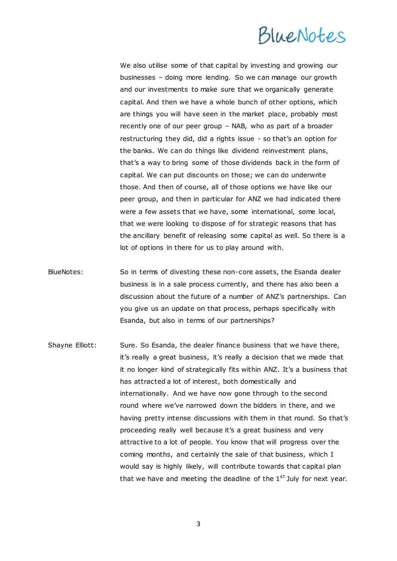## BlueNotes

We also utilise some of that capital by investing and growing our businesses – doing more lending. So we can manage our growth and our investments to make sure that we organically generate capital. And then we have a whole bunch of other options, which are things you will have seen in the market place, probably most recently one of our peer group – NAB, who as part of a broader restructuring they did, did a rights issue - so that's an option for the banks. We can do things like dividend reinvestment plans, that's a way to bring some of those dividends back in the form of capital. We can put discounts on those; we can do underwrite those. And then of course, all of those options we have like our peer group, and then in particular for ANZ we had indicated there were a few assets that we have, some international, some local, that we were looking to dispose of for strategic reasons that has the ancillary benefit of releasing some capital as well. So there is a lot of options in there for us to play around with.

- BlueNotes: So in terms of divesting these non-core assets, the Esanda dealer business is in a sale process currently, and there has also been a discussion about the future of a number of ANZ's partnerships. Can you give us an update on that process, perhaps specifically with Esanda, but also in terms of our partnerships?
- Shayne Elliott: Sure. So Esanda, the dealer finance business that we have there, it's really a great business, it's really a decision that we made that it no longer kind of strategically fits within ANZ. It's a business that has attracted a lot of interest, both domestically and internationally. And we have now gone through to the second round where we've narrowed down the bidders in there, and we having pretty intense discussions with them in that round. So that's proceeding really well because it's a great business and very attractive to a lot of people. You know that will progress over the coming months, and certainly the sale of that business, which I would say is highly likely, will contribute towards that capital plan that we have and meeting the deadline of the  $1<sup>st</sup>$  July for next year.

3